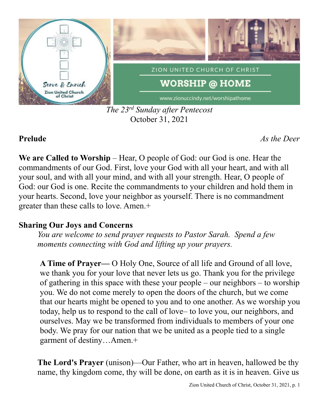

*The 23 rd Sunday after Pentecost* October 31, 2021

**Prelude** *As the Deer*

**We are Called to Worship** – Hear, O people of God: our God is one. Hear the commandments of our God. First, love your God with all your heart, and with all your soul, and with all your mind, and with all your strength. Hear, O people of God: our God is one. Recite the commandments to your children and hold them in your hearts. Second, love your neighbor as yourself. There is no commandment greater than these calls to love. Amen.+

# **Sharing Our Joys and Concerns**

*You are welcome to send prayer requests to Pastor Sarah. Spend a few moments connecting with God and lifting up your prayers.*

**A Time of Prayer—** O Holy One, Source of all life and Ground of all love, we thank you for your love that never lets us go. Thank you for the privilege of gathering in this space with these your people – our neighbors – to worship you. We do not come merely to open the doors of the church, but we come that our hearts might be opened to you and to one another. As we worship you today, help us to respond to the call of love– to love you, our neighbors, and ourselves. May we be transformed from individuals to members of your one body. We pray for our nation that we be united as a people tied to a single garment of destiny…Amen.+

**The Lord's Prayer** (unison)—Our Father, who art in heaven, hallowed be thy name, thy kingdom come, thy will be done, on earth as it is in heaven. Give us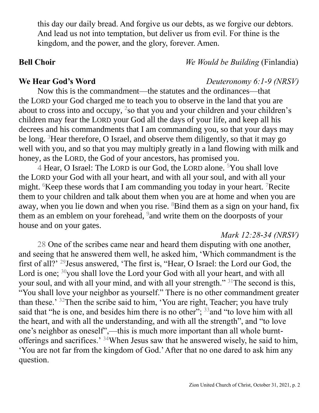this day our daily bread. And forgive us our debts, as we forgive our debtors. And lead us not into temptation, but deliver us from evil. For thine is the kingdom, and the power, and the glory, forever. Amen.

# **Bell Choir** *We Would be Building* (Finlandia)

### **We Hear God's Word** *Deuteronomy 6:1-9 (NRSV)*

Now this is the commandment—the statutes and the ordinances—that the LORD your God charged me to teach you to observe in the land that you are about to cross into and occupy,  $2$ so that you and your children and your children's children may fear the LORD your God all the days of your life, and keep all his decrees and his commandments that I am commanding you, so that your days may be long. <sup>3</sup>Hear therefore, O Israel, and observe them diligently, so that it may go well with you, and so that you may multiply greatly in a land flowing with milk and honey, as the LORD, the God of your ancestors, has promised you.

4 Hear, O Israel: The LORD is our God, the LORD alone. <sup>5</sup>You shall love the LORD your God with all your heart, and with all your soul, and with all your might. <sup>6</sup>Keep these words that I am commanding you today in your heart. <sup>7</sup>Recite them to your children and talk about them when you are at home and when you are away, when you lie down and when you rise.  $8$ Bind them as a sign on your hand, fix them as an emblem on your forehead, <sup>9</sup> and write them on the doorposts of your house and on your gates.

## *Mark 12:28-34 (NRSV)*

28 One of the scribes came near and heard them disputing with one another, and seeing that he answered them well, he asked him, 'Which commandment is the first of all?' <sup>29</sup>Jesus answered, 'The first is, "Hear, O Israel: the Lord our God, the Lord is one;  $30$ you shall love the Lord your God with all your heart, and with all your soul, and with all your mind, and with all your strength."<sup>31</sup>The second is this, "You shall love your neighbor as yourself." There is no other commandment greater than these.' <sup>32</sup>Then the scribe said to him, 'You are right, Teacher; you have truly said that "he is one, and besides him there is no other"; <sup>33</sup> and "to love him with all the heart, and with all the understanding, and with all the strength", and "to love one's neighbor as oneself",—this is much more important than all whole burntofferings and sacrifices.' <sup>34</sup>When Jesus saw that he answered wisely, he said to him, 'You are not far from the kingdom of God.' After that no one dared to ask him any question.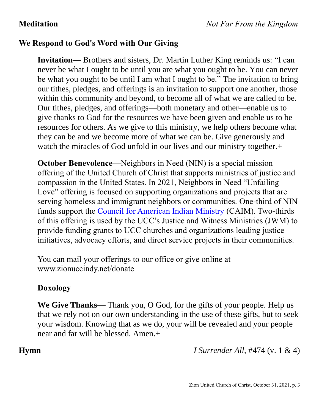# **We Respond to God's Word with Our Giving**

**Invitation—** Brothers and sisters, Dr. Martin Luther King reminds us: "I can never be what I ought to be until you are what you ought to be. You can never be what you ought to be until I am what I ought to be." The invitation to bring our tithes, pledges, and offerings is an invitation to support one another, those within this community and beyond, to become all of what we are called to be. Our tithes, pledges, and offerings—both monetary and other—enable us to give thanks to God for the resources we have been given and enable us to be resources for others. As we give to this ministry, we help others become what they can be and we become more of what we can be. Give generously and watch the miracles of God unfold in our lives and our ministry together.+

**October Benevolence—Neighbors in Need (NIN) is a special mission** offering of the United Church of Christ that supports ministries of justice and compassion in the United States. In 2021, Neighbors in Need "Unfailing Love" offering is focused on supporting organizations and projects that are serving homeless and immigrant neighbors or communities. One-third of NIN funds support the [Council for American Indian Ministry](http://www.ucc.org/faq_what_is_caim) (CAIM). Two-thirds of this offering is used by the UCC's Justice and Witness Ministries (JWM) to provide funding grants to UCC churches and organizations leading justice initiatives, advocacy efforts, and direct service projects in their communities.

You can mail your offerings to our office or give online at www.zionuccindy.net/donate

## **Doxology**

**We Give Thanks**— Thank you, O God, for the gifts of your people. Help us that we rely not on our own understanding in the use of these gifts, but to seek your wisdom. Knowing that as we do, your will be revealed and your people near and far will be blessed. Amen.+

**Hymn** *I Surrender All,* #474 (v. 1 & 4)